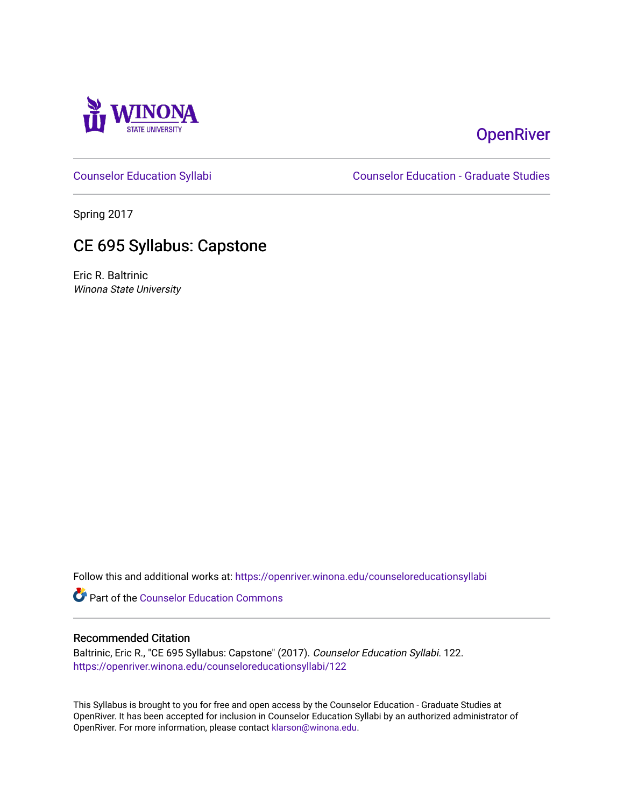

# **OpenRiver**

[Counselor Education Syllabi](https://openriver.winona.edu/counseloreducationsyllabi) [Counselor Education - Graduate Studies](https://openriver.winona.edu/counseloreducation) 

Spring 2017

# CE 695 Syllabus: Capstone

Eric R. Baltrinic Winona State University

Follow this and additional works at: [https://openriver.winona.edu/counseloreducationsyllabi](https://openriver.winona.edu/counseloreducationsyllabi?utm_source=openriver.winona.edu%2Fcounseloreducationsyllabi%2F122&utm_medium=PDF&utm_campaign=PDFCoverPages)

Part of the [Counselor Education Commons](http://network.bepress.com/hgg/discipline/1278?utm_source=openriver.winona.edu%2Fcounseloreducationsyllabi%2F122&utm_medium=PDF&utm_campaign=PDFCoverPages) 

#### Recommended Citation

Baltrinic, Eric R., "CE 695 Syllabus: Capstone" (2017). Counselor Education Syllabi. 122. [https://openriver.winona.edu/counseloreducationsyllabi/122](https://openriver.winona.edu/counseloreducationsyllabi/122?utm_source=openriver.winona.edu%2Fcounseloreducationsyllabi%2F122&utm_medium=PDF&utm_campaign=PDFCoverPages)

This Syllabus is brought to you for free and open access by the Counselor Education - Graduate Studies at OpenRiver. It has been accepted for inclusion in Counselor Education Syllabi by an authorized administrator of OpenRiver. For more information, please contact [klarson@winona.edu](mailto:klarson@winona.edu).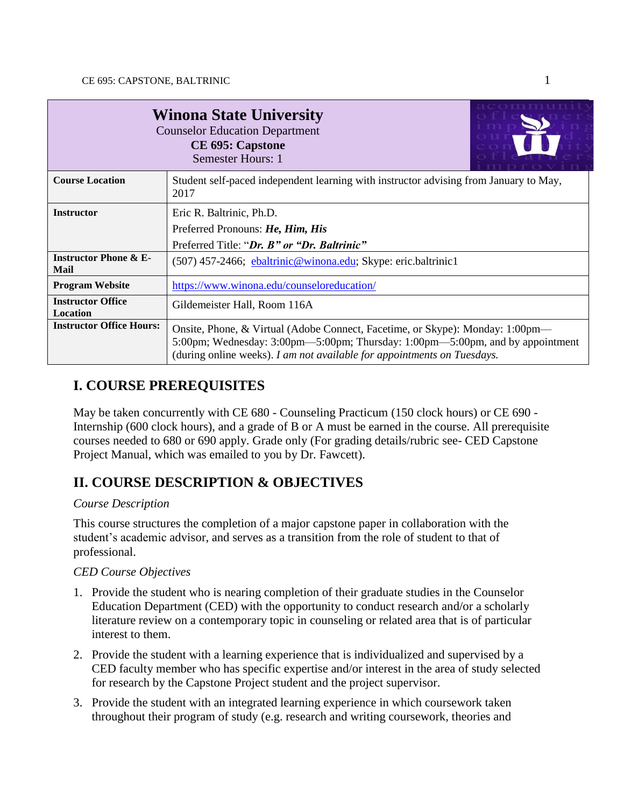| <b>Winona State University</b><br><b>Counselor Education Department</b><br><b>CE 695: Capstone</b><br><b>Semester Hours: 1</b> |                                                                                                                                                                                                                                           |  |  |
|--------------------------------------------------------------------------------------------------------------------------------|-------------------------------------------------------------------------------------------------------------------------------------------------------------------------------------------------------------------------------------------|--|--|
| <b>Course Location</b>                                                                                                         | Student self-paced independent learning with instructor advising from January to May,<br>2017                                                                                                                                             |  |  |
| <b>Instructor</b>                                                                                                              | Eric R. Baltrinic, Ph.D.                                                                                                                                                                                                                  |  |  |
|                                                                                                                                | Preferred Pronouns: He, Him, His                                                                                                                                                                                                          |  |  |
|                                                                                                                                | Preferred Title: "Dr. B" or "Dr. Baltrinic"                                                                                                                                                                                               |  |  |
| <b>Instructor Phone &amp; E-</b><br><b>Mail</b>                                                                                | (507) 457-2466; ebaltrinic@winona.edu; Skype: eric.baltrinic1                                                                                                                                                                             |  |  |
| <b>Program Website</b>                                                                                                         | https://www.winona.edu/counseloreducation/                                                                                                                                                                                                |  |  |
| <b>Instructor Office</b><br>Location                                                                                           | Gildemeister Hall, Room 116A                                                                                                                                                                                                              |  |  |
| <b>Instructor Office Hours:</b>                                                                                                | Onsite, Phone, & Virtual (Adobe Connect, Facetime, or Skype): Monday: 1:00pm—<br>5:00pm; Wednesday: 3:00pm—5:00pm; Thursday: 1:00pm—5:00pm, and by appointment<br>(during online weeks). I am not available for appointments on Tuesdays. |  |  |

## **I. COURSE PREREQUISITES**

May be taken concurrently with CE 680 - Counseling Practicum (150 clock hours) or CE 690 - Internship (600 clock hours), and a grade of B or A must be earned in the course. All prerequisite courses needed to 680 or 690 apply. Grade only (For grading details/rubric see- CED Capstone Project Manual, which was emailed to you by Dr. Fawcett).

## **II. COURSE DESCRIPTION & OBJECTIVES**

### *Course Description*

This course structures the completion of a major capstone paper in collaboration with the student's academic advisor, and serves as a transition from the role of student to that of professional.

## *CED Course Objectives*

- 1. Provide the student who is nearing completion of their graduate studies in the Counselor Education Department (CED) with the opportunity to conduct research and/or a scholarly literature review on a contemporary topic in counseling or related area that is of particular interest to them.
- 2. Provide the student with a learning experience that is individualized and supervised by a CED faculty member who has specific expertise and/or interest in the area of study selected for research by the Capstone Project student and the project supervisor.
- 3. Provide the student with an integrated learning experience in which coursework taken throughout their program of study (e.g. research and writing coursework, theories and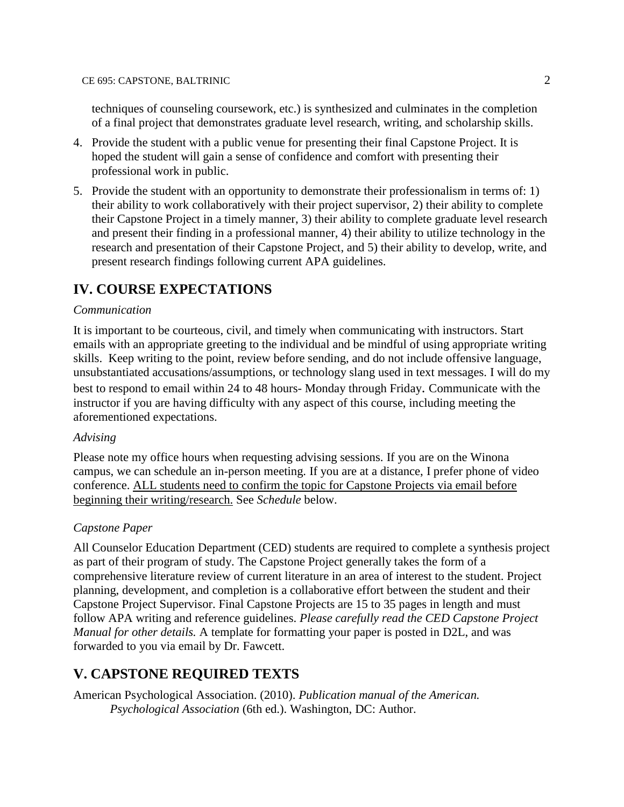techniques of counseling coursework, etc.) is synthesized and culminates in the completion of a final project that demonstrates graduate level research, writing, and scholarship skills.

- 4. Provide the student with a public venue for presenting their final Capstone Project. It is hoped the student will gain a sense of confidence and comfort with presenting their professional work in public.
- 5. Provide the student with an opportunity to demonstrate their professionalism in terms of: 1) their ability to work collaboratively with their project supervisor, 2) their ability to complete their Capstone Project in a timely manner, 3) their ability to complete graduate level research and present their finding in a professional manner, 4) their ability to utilize technology in the research and presentation of their Capstone Project, and 5) their ability to develop, write, and present research findings following current APA guidelines.

## **IV. COURSE EXPECTATIONS**

#### *Communication*

It is important to be courteous, civil, and timely when communicating with instructors. Start emails with an appropriate greeting to the individual and be mindful of using appropriate writing skills. Keep writing to the point, review before sending, and do not include offensive language, unsubstantiated accusations/assumptions, or technology slang used in text messages. I will do my best to respond to email within 24 to 48 hours- Monday through Friday. Communicate with the instructor if you are having difficulty with any aspect of this course, including meeting the aforementioned expectations.

#### *Advising*

Please note my office hours when requesting advising sessions. If you are on the Winona campus, we can schedule an in-person meeting. If you are at a distance, I prefer phone of video conference. ALL students need to confirm the topic for Capstone Projects via email before beginning their writing/research. See *Schedule* below.

#### *Capstone Paper*

All Counselor Education Department (CED) students are required to complete a synthesis project as part of their program of study. The Capstone Project generally takes the form of a comprehensive literature review of current literature in an area of interest to the student. Project planning, development, and completion is a collaborative effort between the student and their Capstone Project Supervisor. Final Capstone Projects are 15 to 35 pages in length and must follow APA writing and reference guidelines. *Please carefully read the CED Capstone Project Manual for other details.* A template for formatting your paper is posted in D2L, and was forwarded to you via email by Dr. Fawcett.

## **V. CAPSTONE REQUIRED TEXTS**

American Psychological Association. (2010). *Publication manual of the American. Psychological Association* (6th ed.). Washington, DC: Author.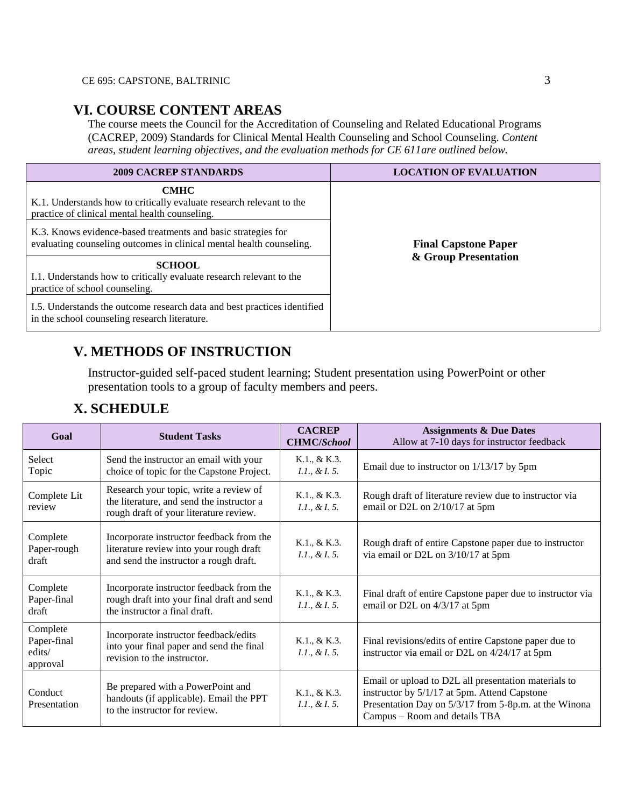### **VI. COURSE CONTENT AREAS**

The course meets the Council for the Accreditation of Counseling and Related Educational Programs (CACREP, 2009) Standards for Clinical Mental Health Counseling and School Counseling. *Content areas, student learning objectives, and the evaluation methods for CE 611are outlined below.*

| <b>2009 CACREP STANDARDS</b>                                                                                                          | <b>LOCATION OF EVALUATION</b> |
|---------------------------------------------------------------------------------------------------------------------------------------|-------------------------------|
| <b>CMHC</b><br>K.1. Understands how to critically evaluate research relevant to the<br>practice of clinical mental health counseling. | <b>Final Capstone Paper</b>   |
| K.3. Knows evidence-based treatments and basic strategies for<br>evaluating counseling outcomes in clinical mental health counseling. |                               |
| <b>SCHOOL</b><br>I.1. Understands how to critically evaluate research relevant to the<br>practice of school counseling.               | & Group Presentation          |
| I.5. Understands the outcome research data and best practices identified<br>in the school counseling research literature.             |                               |

## **V. METHODS OF INSTRUCTION**

Instructor-guided self-paced student learning; Student presentation using PowerPoint or other presentation tools to a group of faculty members and peers.

|  | <b>X. SCHEDULE</b> |
|--|--------------------|
|--|--------------------|

| Goal                                          | <b>Student Tasks</b>                                                                                                          | <b>CACREP</b><br><b>CHMC/School</b> | <b>Assignments &amp; Due Dates</b><br>Allow at 7-10 days for instructor feedback                                                                                                               |
|-----------------------------------------------|-------------------------------------------------------------------------------------------------------------------------------|-------------------------------------|------------------------------------------------------------------------------------------------------------------------------------------------------------------------------------------------|
| Select<br>Topic                               | Send the instructor an email with your<br>choice of topic for the Capstone Project.                                           | K.1., & K.3.<br>I.1., & I.5.        | Email due to instructor on $1/13/17$ by 5pm                                                                                                                                                    |
| Complete Lit<br>review                        | Research your topic, write a review of<br>the literature, and send the instructor a<br>rough draft of your literature review. | K.1., & K.3.<br>I.1., & I.5.        | Rough draft of literature review due to instructor via<br>email or D2L on 2/10/17 at 5pm                                                                                                       |
| Complete<br>Paper-rough<br>draft              | Incorporate instructor feedback from the<br>literature review into your rough draft<br>and send the instructor a rough draft. | K.1., & K.3.<br>I.1., & I.5.        | Rough draft of entire Capstone paper due to instructor<br>via email or D2L on 3/10/17 at 5pm                                                                                                   |
| Complete<br>Paper-final<br>draft              | Incorporate instructor feedback from the<br>rough draft into your final draft and send<br>the instructor a final draft.       | K.1., & K.3.<br>I.1., & I.5.        | Final draft of entire Capstone paper due to instructor via<br>email or D2L on 4/3/17 at 5pm                                                                                                    |
| Complete<br>Paper-final<br>edits/<br>approval | Incorporate instructor feedback/edits<br>into your final paper and send the final<br>revision to the instructor.              | K.1., & K.3.<br>$1.1, \& I. 5.$     | Final revisions/edits of entire Capstone paper due to<br>instructor via email or D2L on 4/24/17 at 5pm                                                                                         |
| Conduct<br>Presentation                       | Be prepared with a PowerPoint and<br>handouts (if applicable). Email the PPT<br>to the instructor for review.                 | K.1., & K.3.<br>$1.1, \& L.5.$      | Email or upload to D2L all presentation materials to<br>instructor by 5/1/17 at 5pm. Attend Capstone<br>Presentation Day on 5/3/17 from 5-8p.m. at the Winona<br>Campus – Room and details TBA |